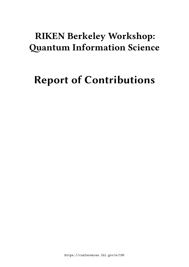## **RIKEN Berkeley Workshop: Quantum Information Science**

# **Report of Contributions**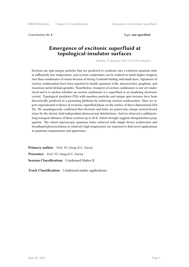Contribution ID: **4** Type: **not specified**

#### **Emergence of excitonic superfluid at topological-insulator surfaces**

*Sunday, 27 January 2019 17:30 (25 minutes)*

Excitons are spin integer particles that are predicted to condense into a coherent quantum state at sufficiently low temperature, and exciton condensates can be realized at much higher temperature than condensates of atoms because of strong Coulomb binding and small mass. Signatures of exciton condensation have been reported in double quantum wells, microcavities, graphene, and transition metal dichalcogenides. Nonetheless, transport of exciton condensates is not yet understood and it is unclear whether an exciton condensate is a superfluid or an insulating electronic crystal. Topological insulators (TIs) with massless particles and unique spin textures have been theoretically predicted as a promising platform for achieving exciton condensation. Here we report experimental evidence of excitonic superfluid phase on the surface of three-dimensional (3D) TIs. We unambiguously confirmed that electrons and holes are paired into charge neutral bound states by the electric field independent photocurrent distributions. And we observed a millimetrelong transport distance of these excitons up to 40 K, which strongly suggests dissipationless propagation. The robust macroscopic quantum states achieved with simple device architecture and broadband photoexcitation at relatively high temperature are expected to find novel applications in quantum computations and spintronics.

**Primary author:** Prof. YU, Dong (U.C. Davis) Presenter: Prof. YU, Dong (U.C. Davis) **Session Classification:** Condensed Matter II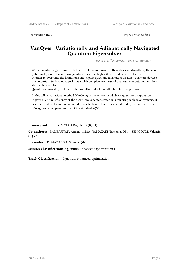Contribution ID: **7** Type: **not specified**

#### **VanQver: Variationally and Adiabatically Navigated Quantum Eigensolver**

*Sunday, 27 January 2019 10:15 (25 minutes)*

While quantum algorithms are believed to be more powerful than classical algorithms, the computational power of near term quantum devices is highly Ørestricted because of noise. In order to overcome the limitations and exploit quantum advantages on noisy quantum devices, it is important to develop algorithms which complete each run of quantum computation within a short coherence time.

Quantum-classical hybrid methods have attracted a lot of attention for this purpose.

In this talk, a variational method (VanQver) is introduced in adiabatic quantum computation. In particular, the efficiency of the algorithm is demonstrated in simulating molecular systems. It is shown that each run time required to reach chemical accuracy is reduced by two or three orders of magnitude compared to that of the standard AQC.

**Primary author:** Dr MATSUURA, Shunji (1QBit)

**Co-authors:** ZARIBAFIYAN, Arman (1QBit); YAMAZAKI, Takeshi (1QBit); SENICOURT, Valentin (1QBit)

**Presenter:** Dr MATSUURA, Shunji (1QBit)

**Session Classification:** Quantum Enhanced Optimization I

**Track Classification:** Quantum enhanced optimization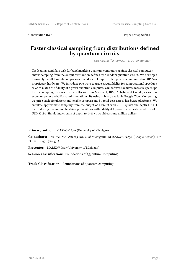Contribution ID: **8** Type: **not specified**

#### **Faster classical sampling from distributions defined by quantum circuits**

*Saturday, 26 January 2019 11:30 (40 minutes)*

The leading candidate task for benchmarking quantum computers against classical computers entails sampling from the output distribution defined by a random quantum circuit. We develop a massively-parallel simulation package that does not require inter-process communication (IPC) or proprietary hardware. We introduce two ways to trade circuit fidelity for computational speedups, so as to match the fidelity of a given quantum computer. Our software achieves massive speedups for the sampling task over prior software from Microsoft, IBM, Alibaba and Google, as well as supercomputer and GPU-based simulations. By using publicly available Google Cloud Computing, we price such simulations and enable comparisons by total cost across hardware platforms. We simulate approximate sampling from the output of a circuit with  $7 \times 8$  qubits and depth  $1+40+1$ by producing one million bitstring probabilities with fidelity 0.5 percent, at an estimated cost of USD 35184. Simulating circuits of depth to 1+48+1 would cost one million dollars.

**Primary author:** MARKOV, Igor (University of Michigan)

**Co-authors:** Ms FATIMA, Aneeqa (Univ. of Michigan); Dr ISAKOV, Sergei (Google Zurich); Dr BOIXO, Sergio (Google)

**Presenter:** MARKOV, Igor (University of Michigan)

**Session Classification:** Foundations of Quantum Computing

**Track Classification:** Foundations of quantum computing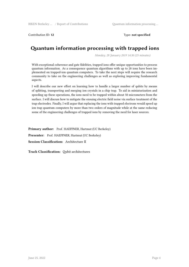Contribution ID: 12 Type: **not specified** 

## **Quantum information processing with trapped ions**

*Monday, 28 January 2019 14:30 (25 minutes)*

With exceptional coherence and gate fidelities, trapped ions offer unique opportunities to process quantum information. As a consequence quantum algorithms with up to 20 ions have been implemented on trapped-ion quantum computers. To take the next steps will require the research community to take on the engineering challenges as well as exploring improving fundamental aspects.

I will describe our new effort on learning how to handle a larger number of qubits by means of splitting, transporting and merging ion crystals in a chip trap. To aid in miniaturization and speeding up these operations, the ions need to be trapped within about 50 micrometers from the surface. I will discuss how to mitigate the ensuing electric field noise via surface treatment of the trap electrodes. Finally, I will argue that replacing the ions with trapped electrons would speed up ion trap quantum computers by more than two orders of magnitude while at the same reducing some of the engineering challenges of trapped ions by removing the need for laser sources.

Primary author: Prof. HAEFFNER, Hartmut (UC Berkeley) Presenter: Prof. HAEFFNER, Hartmut (UC Berkeley) **Session Classification:** Architecture II

**Track Classification:** Qubit architectures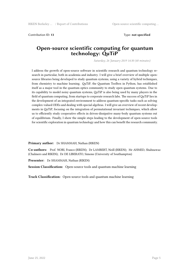Contribution ID: **13** Type: **not specified**

#### **Open-source scientific computing for quantum technology: QuTiP**

*Saturday, 26 January 2019 14:30 (40 minutes)*

I address the growth of open-source software in scientific research and quantum technology research in particular, both in academia and industry. I will give a brief overview of multiple opensource libraries being developed to study quantum systems, using a variety of hybrid techniques, from chemistry to machine learning. QuTiP, the Quantum Toolbox in Python, has established itself as a major tool in the quantum optics community to study open quantum systems. Due to its capability to model noisy quantum systems, QuTiP is also being used by many players in the field of quantum computing, from startups to corporate research labs. The success of QuTiP lies in the development of an integrated environment to address quantum-specific tasks such as solving complex-valued ODEs and dealing with special algebras. I will give an overview of recent developments in QuTiP, focusing on the integration of permutational invariant techniques, which allow us to efficiently study cooperative effects in driven-dissipative many-body quantum systems out of equilibrium. Finally, I show the simple steps leading to the development of open-source tools for scientific exploration in quantum technology and how this can benefit the research community.

**Primary author:** Dr SHAMMAH, Nathan (RIKEN)

**Co-authors:** Prof. NORI, Franco (RIKEN); Dr LAMBERT, Neill (RIKEN); Mr AHMED, Shahnawaz (Chalmers and RIKEN); Dr DE LIBERATO, Simone (University of Southampton)

**Presenter:** Dr SHAMMAH, Nathan (RIKEN)

**Session Classification:** Open-source tools and quantum machine learning

**Track Classification:** Open-source tools and quantum machine learning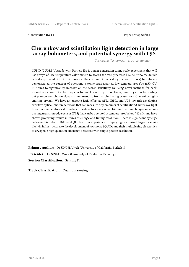Contribution ID: **14** Type: **not specified**

#### **Cherenkov and scintillation light detection in large array bolometers, and potential synergy with QIS**

*Tuesday, 29 January 2019 11:30 (25 minutes)*

CUPID (CUORE Upgrade with Particle ID) is a next-generation tonne-scale experiment that will use arrays of low-temperature calorimeters to search for rare processes like neutrinoless double beta decay. While CUORE (Cryogenic Underground Observatory for Rare Events) has already demonstrated the concept of operating a tonne-scale array at low temperatures (˜10 mK), CU-PID aims to significantly improve on the search sensitivity by using novel methods for background rejection. One technique is to enable event-by-event background rejection by reading out phonon and photon signals simultaneously from a scintillating crystal or a Cherenkov lightemitting crystal. We have an ongoing R&D effort at ANL, LBNL, and UCB towards developing sensitive optical-photon detectors that can measure tiny amounts of scintillation/Cherenkov light from low-temperature calorimeters. The detectors use a novel Iridium/Platinum bilayer superconducting transition-edge-sensor (TES) that can be operated at temperatures below ˜ 40 mK, and have shown promising results in terms of energy and timing resolution. There is significant synergy between this detector R&D and QIS: from our experience in deploying customized large-scale millikelvin infrastructure, to the development of low-noise SQUIDs and their multiplexing electronics, to cryogenic high quantum efficiency detectors with single-photon resolution.

**Primary author:** Dr SINGH, Vivek (University of California, Berkeley) **Presenter:** Dr SINGH, Vivek (University of California, Berkeley) **Session Classification:** Sensing IV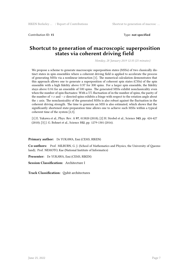Contribution ID: **15** Type: **not specified**

#### **Shortcut to generation of macroscopic superposition states via coherent driving field**

*Monday, 28 January 2019 12:35 (25 minutes)*

We propose a scheme to generate macroscopic superposition states (MSSs) of two classically distinct states in spin ensembles where a coherent driving field is applied to accelerate the process of generating MSSs via a nonlinear interaction [1]. The numerical calculation demonstrates that this approach allows one to generate a superposition of coherent spin states (CSSs) of the spin ensemble with a high fidelity above 0*.*97 for 300 spins. For a larger spin ensemble, the fidelity stays above 0*.*84 for an ensemble of 500 spins. The generated MSSs exhibit nonclassicality even when the number of spin fluctuates: With a 5% fluctuation of in the number of spins, the parity of the number of +*x* and *−x* directed spins exhibits a fringe with respect to the rotation angle about the *z* axis. The nonclassicality of the generated MSSs is also robust against the fluctuation in the coherent driving strength. The time to generate an MSS is also estimated, which shows that the significantly shortened state-preparation time allows one to achieve such MSSs within a typical coherent time of the system [2,3].

[1] E. Yukawa et al., Phys. Rev. A **97**, 013820 (2018); [2] H. Strobel et al., Science **345**, pp. 424-427 (2010); [3] J. G. Bohnet et al., Science **352**, pp. 1279-1301 (2016).

#### **Primary author:** Dr YUKAWA, Emi (CEMS, RIKEN)

**Co-authors:** Prof. MILBURN, G. J. (School of Mathematics and Physics, the University of Queensland); Prof. NEMOTO, Kae (National Institute of Informatics)

**Presenter:** Dr YUKAWA, Emi (CEMS, RIKEN)

**Session Classification:** Architecture I

**Track Classification:** Qubit architectures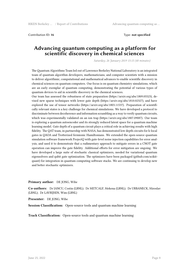Contribution ID: **16** Type: **not specified**

#### **Advancing quantum computing as a platform for scientific discovery in chemical sciences**

*Saturday, 26 January 2019 15:15 (40 minutes)*

The Quantum Algorithms Team led out of Lawrence Berkeley National Laboratory is an integrated team of quantum algorithm developers, mathematicians, and computer scientists with a mission to deliver algorithmic, computational and mathematical advances to enable scientific discovery in chemical sciences on quantum computers. Our focus is on quantum chemistry simulations, which are an early exemplar of quantum computing, demonstrating the potential of various types of quantum devices to aid in scientific discovery in the chemical sciences.

Our team has assessed the robustness of state preparation (https://arxiv.org/abs/1809.05523), devised new sparse techniques with lower gate depth (https://arxiv.org/abs/1810.02327), and have explored the use of tensor networks (https://arxiv.org/abs/1803.11537). Preparation of scientifically relevant states is a key challenge for chemical simulations. We have developed a protocol to discriminate between decoherence and information scrambling as a way to verify quantum circuits, which was experimentally validated on an ion trap (https://arxiv.org/abs/1807.09087). Our team is exploring a quantum autoencoder and its strongly reduced latent space for a quantum machine learning model. Gate depth of a quantum circuit plays a critical role in achieving results with high fidelity. The QAT team, in partnership with NASA, has demonstrated low depth circuits for k-local gates in QAOA and Trotterized fermionic Hamiltonians. We extended the open-source quantum simulation software framework ProjectQ with gate-level noise injection capabilities for error analysis, and used it to demonstrate that a rudimentary approach to mitigate errors in a CNOT gate operation can improve the gate fidelity. Additional efforts for error mitigation are ongoing. We have developed a large suite of stochastic classical optimizers, needed for variational quantum eigensolvers and qubit gate optimization. The optimizers have been packaged (github.com/scikitquant) for integration in quantum computing software stacks. We are continuing to develop new and better stochastic optimizers.

**Primary author:** DE JONG, Wibe

**Co-authors:** Dr IANCU, Costin (LBNL); Dr METCALF, Mekena (LBNL); Dr URBANECK, Miroslav (LBNL); Dr LAVRIJSEN, Wim (LBNL)

**Presenter:** DE JONG, Wibe

**Session Classification:** Open-source tools and quantum machine learning

**Track Classification:** Open-source tools and quantum machine learning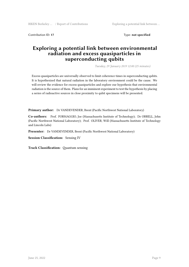Contribution ID: **17** Type: **not specified**

#### **Exploring a potential link between environmental radiation and excess quasiparticles in superconducting qubits**

*Tuesday, 29 January 2019 12:00 (25 minutes)*

Excess quasiparticles are universally observed to limit coherence times in superconducting qubits. It is hypothesized that natural radiation in the laboratory environment could be the cause. We will review the evidence for excess quasiparticles and explore our hypothesis that environmental radiation is the source of them. Plans for an imminent experiment to test the hypothesis by placing a series of radioactive sources in close proximity to qubit specimens will be presented.

**Primary author:** Dr VANDEVENDER, Brent (Pacific Northwest National Laboratory)

**Co-authors:** Prof. FORMAGGIO, Joe (Massachusetts Institute of Technology); Dr ORRELL, John (Pacific Northwest National Laboratory); Prof. OLIVER, Will (Massachusetts Institute of Technology and Lincoln Labs)

Presenter: Dr VANDEVENDER, Brent (Pacific Northwest National Laboratory)

**Session Classification:** Sensing IV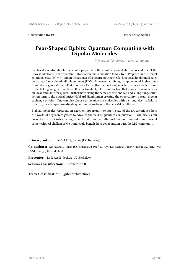Contribution ID: **19** Type: **not specified**

#### **Pear-Shaped Qubits: Quantum Computing with Dipolar Molecules**

*Monday, 28 January 2019 15:00 (25 minutes)*

Electrically neutral dipolar molecules prepared in the absolute ground state represent one of the newest additions to the quantum-information and simulation family tree. Prepared in the lowest rotational state  $(N = 0)$ , and in the absence of a polarizing electric field, neutral dipolar molecules lack a lab-frame electric dipole moment (EDM). However, admixing components of higher rotational states generates an EDM of order a Debye (for the bialkalis) which provides a route to controllable long-range interactions. It is the tunability of this interaction that makes these molecules an ideal candidate for qubits. Furthermore, using the same scheme one can add a long-range interaction term to the optical-lattice Hubbard Hamiltonian creating the opportunity to study dipolar exchange physics. One can also choose to polarize the molecules with a strong electric field in order to, for example, investigate quantum magnetism in the *XXZ*-Hamiltonian.

Bialkali molecules represent an excellent opportunity to apply state of the art techniques from the world of degenerate gasses to advance the field of quantum computation. I will discuss our current effort towards creating ground state bosonic Lithium-Rubidium molecules and present some technical challenges we think could benefit from collaboration with the LBL community.

**Primary author:** Dr ISAACS, Joshua (UC Berkeley)

**Co-authors:** Mr SMULL, Aaron (UC Berkeley); Prof. STAMPER-KURN, Dan (UC Berkeley, LBL); Ms FANG, Fang (UC Berkeley)

**Presenter:** Dr ISAACS, Joshua (UC Berkeley)

**Session Classification:** Architecture II

**Track Classification:** Qubit architectures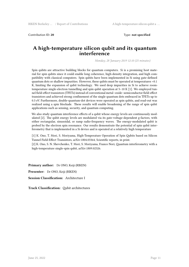Contribution ID: **20** Type: **not specified**

#### **A high-temperature silicon qubit and its quantum interference**

*Monday, 28 January 2019 12:10 (25 minutes)*

Spin qubits are attractive building blocks for quantum computers. Si is a promising host material for spin qubits since it could enable long coherence, high-density integration, and high compatibility with classical computers. Spin qubits have been implemented in Si using gate-defined quantum dots or shallow impurities. However, these qubits must be operated at temperatures <0.1 K, limiting the expansion of qubit technology. We used deep impurities in Si to achieve roomtemperature single-electron tunnelling and spin qubit operation at 5–10 K [1]. We employed tunnel field-effect transistors (TFETs) instead of conventional metal–oxide–semiconductor field-effect transistors and achieved strong confinement of the single quantum dots embraced in TFETs up to 0.3 eV. Furthermore, double-quantum-dot devices were operated as spin qubits, and read-out was realized using a spin blockade. These results will enable broadening of the range of spin qubit applications such as sensing, security, and quantum computing.

We also study quantum interference effects of a qubit whose energy levels are continuously modulated [2]. The qubit energy levels are modulated via its gate-voltage-dependent g-factors, with either rectangular, sinusoidal, or ramp radio-frequency waves. The energy-modulated qubit is probed by the electron spin resonance. Our results demonstrate the potential of spin qubit interferometry that is implemented in a Si device and is operated at a relatively high temperature

[1] K. Ono, T. Mori, S. Moriyama, High-Temperature Operation of Spin Qubits based on Silicon Tunnel Field-Effect Transistors, arXiv:1804.03364, Scientific reports, in print.

[2] K. Ono, S. N. Shevchenko, T. Mori, S. Moriyama, Franco Nori, Quantum interferometry with a high-temperature single-spin qubit, arXiv:1809.02326.

**Primary author:** Dr ONO, Keiji (RIKEN) **Presenter:** Dr ONO, Keiji (RIKEN) **Session Classification:** Architecture I

**Track Classification:** Qubit architectures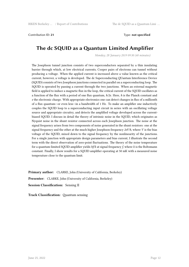Contribution ID: **21** Type: **not specified**

## **The dc SQUID as a Quantum Limited Amplifier**

*Monday, 28 January 2019 09:30 (40 minutes)*

The Josephson tunnel junction consists of two superconductors separated by a thin insulating barrier through which, at low electrical currents, Cooper pairs of electrons can tunnel without producing a voltage. When the applied current is increased above a value known as the critical current, however, a voltage is developed. The dc Superconducting QUantum Interference Device (SQUID) consists of two Josephson junctions connected in parallel on a superconducting loop. The SQUID is operated by passing a current through the two junctions. When an external magnetic field is applied to induce a magnetic flux in the loop, the critical current of the SQUID oscillates as a function of the flux with a period of one flux quantum, *h/2e*. Here, *h* is the Planck constant and *e* the electronic charge. With appropriate electronics one can detect changes in flux of a millionth of a flux quantum—or even less—in a bandwidth of 1 Hz. To make an amplifier one inductively couples the SQUID loop to a superconducting input circuit in series with an oscillating voltage source and appropriate circuitry, and detects the amplified voltage developed across the currentbiased SQUID. I discuss in detail the theory of intrinsic noise in the SQUID, which originates as Nyquist noise in the shunt resistor connected across each Josephson junction. The noise at the signal frequency arises from two components of noise generated in the shunt resistors: one at the signal frequency and the other at the much higher Josephson frequency *2eV/h*, where *V* is the bias voltage of the SQUID, mixed down to the signal frequency by the nonlinearity of the junctions. For a single junction with appropriate design parameters and bias current, I illustrate the second term with the direct observation of zero-point fluctuations. The theory of the noise temperature for a quantum-limited SQUID amplifier yields *hf/k* at signal frequency *f*, where *k* is the Boltzmann constant. Finally, I show results for a SQUID amplifier operating at 50 mK with a measured noise temperature close to the quantum limit.

**Primary author:** CLARKE, John (University of California, Berkeley)

**Presenter:** CLARKE, John (University of California, Berkeley)

**Session Classification:** Sensing II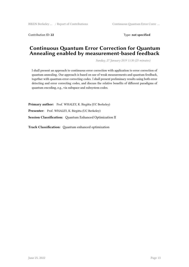Contribution ID: **22** Type: **not specified**

#### **Continuous Quantum Error Correction for Quantum Annealing enabled by measurement-based feedback**

*Sunday, 27 January 2019 11:30 (25 minutes)*

I shall present an approach to continuous error correction with application to error correction of quantum annealing. Our approach is based on use of weak measurements and quantum feedback, together with quantum error correcting codes. I shall present preliminary results using both error detecting and error correcting codes, and discuss the relative benefits of different paradigms of quantum encoding, e.g., via subspace and subsystem codes.

**Primary author:** Prof. WHALEY, K. Birgitta (UC Berkeley) **Presenter:** Prof. WHALEY, K. Birgitta (UC Berkeley) **Session Classification:** Quantum Enhanced Optimization II

**Track Classification:** Quantum enhanced optimization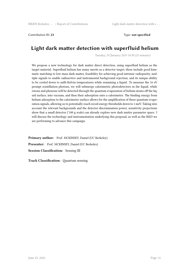Contribution ID: **23** Type: **not specified**

## **Light dark matter detection with superfluid helium**

*Tuesday, 29 January 2019 10:30 (25 minutes)*

We propose a new technology for dark matter direct detection, using superfluid helium as the target material. Superfluid helium has many merits as a detector target; these include good kinematic matching to low mass dark matter, feasibility for achieving good intrinsic radiopurity, multiple signals to enable radioavtive and instrumental background rejection, and its unique ability to be cooled down to milli-Kelvin temperatures while remaining a liquid. To measure the 16 eV prompt scintillation photons, we will submerge calorimetric photodetectors in the liquid, while rotons and phonons will be detected through the quantum evaporation of helium atoms off the liquid surface, into vacuum, and then their adsorption onto a calorimeter. The binding energy from helium adsorption to the calorimeter surface allows for the amplification of these quantum evaporation signals, allowing us to potentially reach recoil energy thresholds down to 1 meV. Taking into account the relevant backgrounds and the detector discrimination power, sensitivity projections show that a small detector (~100 g scale) can already explore new dark matter parameter space. I will discuss the technology and instrumentation underlying this proposal, as well as the R&D we are performing to advance this campaign.

**Primary author:** Prof. MCKINSEY, Daniel (UC Berkeley) **Presenter:** Prof. MCKINSEY, Daniel (UC Berkeley) **Session Classification:** Sensing III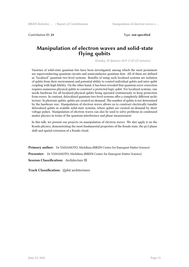Contribution ID: **24** Type: **not specified**

#### **Manipulation of electron waves and solid-state flying qubits**

*Monday, 28 January 2019 17:45 (25 minutes)*

Varieties of solid-state quantum bits have been investigated, among which the most prominent are superconducting quantum circuits and semiconductor quantum dots. All of them are defined as "localized" quantum two-level systems. Benefits of using such localized systems are isolation of qubits from their environment and potential ability to control individual qubits and inter-qubit coupling with high fidelity. On the other hand, it has been revealed that quantum error correction requires numerous physical qubits to construct a protected logic qubit. For localized systems, one needs hardware for all localized physical qubits being operated continuously to keep protection from errors. In contrast, delocalized quantum two-level systems offer a completely different architecture. In photonic qubits, qubits are created on-demand. The number of qubits is not determined by the hardware size. Manipulation of electron waves allows us to construct electrically tunable delocalized qubits in scalable solid-state systems, where qubits are created on-demand by short voltage pulses. Manipulation of electron waves can also be used to solve problems in condensed matter physics in terms of the quantum interference and phase measurement.

In this talk, we present our projects on manipulation of electron waves. We also apply it on the Kondo physics, demonstrating the most fundamental properties of the Kondo state, the pi/2 phase shift and spatial extension of a Kondo cloud.

**Primary author:** Dr YAMAMOTO, Michihisa (RIKEN Center for Emergent Matter Science) **Presenter:** Dr YAMAMOTO, Michihisa (RIKEN Center for Emergent Matter Science) **Session Classification:** Architecture III

**Track Classification:** Qubit architectures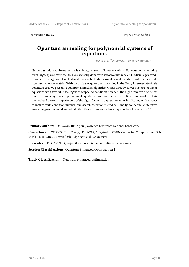Contribution ID: **25** Type: **not specified**

#### **Quantum annealing for polynomial systems of equations**

*Sunday, 27 January 2019 10:45 (10 minutes)*

Numerous fields require numerically solving a system of linear equations. For equations stemming from large, sparse matrices, this is classically done with iterative methods and judicious preconditioning. Convergence of such algorithms can be highly variable and depends in part, on the condition number of the matrix. With the arrival of quantum computing in the Noisy Intermediate-Scale Quantum era, we present a quantum annealing algorithm which directly solves systems of linear equations with favorable scaling with respect to condition number. The algorithm can also be extended to solve systems of polynomial equations. We discuss the theoretical framework for this method and perform experiments of the algorithm with a quantum annealer. Scaling with respect to matrix rank, condition number, and search precision is studied. Finally, we define an iterative annealing process and demonstrate its efficacy in solving a linear system to a tolerance of 10−8.

**Primary author:** Dr GAMBHIR, Arjun (Lawrence Livermore National Laboratory)

**Co-authors:** CHANG, Chia Cheng; Dr SOTA, Shigetoshi (RIKEN Center for Computational Science); Dr HUMBLE, Travis (Oak Ridge National Laboratory)

**Presenter:** Dr GAMBHIR, Arjun (Lawrence Livermore National Laboratory)

**Session Classification:** Quantum Enhanced Optimization I

**Track Classification:** Quantum enhanced optimization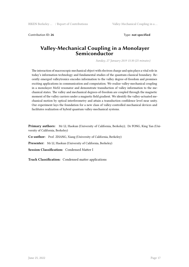Contribution ID: **26** Type: **not specified**

#### **Valley-Mechanical Coupling in a Monolayer Semiconductor**

*Sunday, 27 January 2019 15:30 (25 minutes)*

The interaction of macroscopic mechanical object with electron charge and spin plays a vital role in today's information technology and fundamental studies of the quantum-classical boundary. Recently emerged valleytronics encodes information to the valley degree-of-freedom and promises exciting applications in communication and computation. We realize valley-mechanical coupling in a monolayer MoS2 resonator and demonstrate transduction of valley information to the mechanical states. The valley and mechanical degrees-of-freedom are coupled through the magnetic moment of the valley carriers under a magnetic field gradient. We identify the valley-actuated mechanical motion by optical interferometry and attain a transduction confidence level near unity. Our experiment lays the foundation for a new class of valley-controlled mechanical devices and facilitates realization of hybrid quantum valley-mechanical systems.

**Primary authors:** Mr LI, Haokun (University of California, Berkeley); Dr FONG, King Yan (University of California, Berkeley)

**Co-author:** Prof. ZHANG, Xiang (University of California, Berkeley)

**Presenter:** Mr LI, Haokun (University of California, Berkeley)

**Session Classification:** Condensed Matter I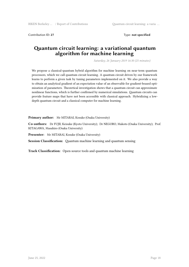Contribution ID: **27** Type: **not specified**

#### **Quantum circuit learning: a variational quantum algorithm for machine learning**

*Saturday, 26 January 2019 16:30 (25 minutes)*

We propose a classical-quantum hybrid algorithm for machine learning on near-term quantum processors, which we call quantum circuit learning. A quantum circuit driven by our framework learns to perform a given task by tuning parameters implemented on it. We also provide a way to obtain an analytical gradient of an expectation value of an observable for gradient-beased optimization of parameters. Theoretical investigation shows that a quantum circuit can approximate nonlinear functions, which is further confirmed by numerical simulations. Quantum circuits can provide feature maps that have not been accessible with classical approach. Hybridizing a lowdepth quantum circuit and a classical computer for machine learning.

Primary author: Mr MITARAI, Kosuke (Osaka University)

**Co-authors:** Dr FUJII, Keisuke (Kyoto University); Dr NEGORO, Makoto (Osaka University); Prof. KITAGAWA, Masahiro (Osaka University)

**Presenter:** Mr MITARAI, Kosuke (Osaka University)

**Session Classification:** Quantum machine learning and quantum sensing

**Track Classification:** Open-source tools and quantum machine learning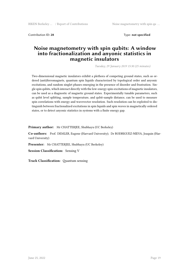Contribution ID: **28** Type: **not specified**

#### **Noise magnetometry with spin qubits: A window into fractionalization and anyonic statistics in magnetic insulators**

*Tuesday, 29 January 2019 15:30 (25 minutes)*

Two-dimensional magnetic insulators exhibit a plethora of competing ground states, such as ordered (anti)ferromagnets, quantum spin liquids characterized by topological order and anyonic excitations, and random singlet phases emerging in the presence of disorder and frustration. Single spin qubits, which interact directly with the low-energy spin-excitations of magnetic insulators, can be used as a diagnostic of magnetic ground states. Experimentally tunable parameters, such as qubit level splitting, sample temperature, and qubit-sample distance, can be used to measure spin correlations with energy and wavevector resolution. Such resolution can be exploited to distinguish between fractionalized excitations in spin liquids and spin waves in magnetically ordered states, or to detect anyonic statistics in systems with a finite energy gap.

**Primary author:** Mr CHATTERJEE, Shubhayu (UC Berkeley)

**Co-authors:** Prof. DEMLER, Eugene (Harvard University); Dr RODRIGUEZ-NIEVA, Joaquin (Harvard University)

**Presenter:** Mr CHATTERJEE, Shubhayu (UC Berkeley)

**Session Classification:** Sensing V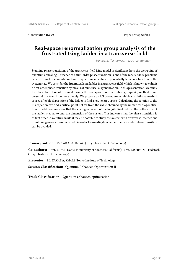Contribution ID: **29** Type: **not specified**

#### **Real-space renormalization group analysis of the frustrated Ising ladder in a transverse field**

*Sunday, 27 January 2019 12:30 (25 minutes)*

Studying phase transitions of the transverse-field Ising model is significant from the viewpoint of quantum annealing. Presence of a first-order phase transition is one of the most serious problems because it makes computation time of quantum annealing exponentially large as a function of the system size. We consider the frustrated Ising ladder in a transverse field, which is known to exhibit a first-order phase transition by means of numerical diagonalization. In this presentation, we study the phase transition of this model using the real-space renormalization group (RG) method to understand this transition more deeply. We propose an RG procedure in which a variational method is used after block partition of the ladder to find a low-energy space. Calculating the solution to the RG equation, we find a critical point not far from the value obtained by the numerical diagonalization. In addition, we show that the scaling exponent of the longitudinal field on the bottom row of the ladder is equal to one, the dimension of the system. This indicates that the phase transition is of first order. As a future work, it may be possible to study the system with transverse interactions or inhomogeneous transverse field in order to investigate whether the first-order phase transition can be avoided.

**Primary author:** Mr TAKADA, Kabuki (Tokyo Institute of Technology)

**Co-authors:** Prof. LIDAR, Daniel (University of Southern California); Prof. NISHIMORI, Hidetoshi (Tokyo Institute of Technology)

**Presenter:** Mr TAKADA, Kabuki (Tokyo Institute of Technology)

**Session Classification:** Quantum Enhanced Optimization II

**Track Classification:** Quantum enhanced optimization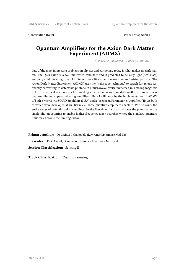Contribution ID: **30** Type: **not specified**

#### **Quantum Amplifiers for the Axion Dark Matter Experiment (ADMX)**

*Monday, 28 January 2019 10:35 (25 minutes)*

One of the most interesting problems in physics and cosmology today is what makes up dark matter. The QCD axion is a well motivated candidate and is predicted to be very light (*µ*eV mass) and very cold, meaning it would interact more like a radio wave then an ionizing particle. The Axion Dark Matter Experiment (ADMX) uses the "haloscope technique" to search for axions resonantly converting to detectable photons in a microwave cavity immersed in a strong magnetic field. The critical components for enabling an efficient search for dark matter axions are near quantum limited superconducting amplifiers. Here I will describe the implementation in ADMX of both a Microstrip SQUID amplifiers (MSA) and a Josephson Parameteric Amplifiers (JPAs), both of which were developed at UC Berkeley. These quantum amplifiers enable ADMX to cover the entire range of potential axion couplings for the first time. I will also discuss the potential to use single-photon counting to enable higher frequency axion searches where the standard-quantum limit may become the limiting factor.

**Primary author:** Dr CAROSI, Gianpaolo (Lawrence Livermore Natl Lab) **Presenter:** Dr CAROSI, Gianpaolo (Lawrence Livermore Natl Lab) **Session Classification:** Sensing II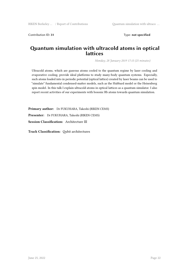Contribution ID: **31** Type: **not specified**

#### **Quantum simulation with ultracold atoms in optical lattices**

*Monday, 28 January 2019 17:15 (25 minutes)*

Ultracold atoms, which are gaseous atoms cooled to the quantum regime by laser cooling and evaporative cooling, provide ideal platforms to study many-body quantum systems. Especially, such atoms loaded into in periodic potential (optical lattice) created by laser beams can be used to "simulate" fundamental condensed-matter models, such as the Hubbard model or the Heisenberg spin model. In this talk I explain ultracold atoms in optical lattices as a quantum simulator. I also report recent activities of our experiments with bosonic Rb atoms towards quantum simulation.

**Primary author:** Dr FUKUHARA, Takeshi (RIKEN CEMS) **Presenter:** Dr FUKUHARA, Takeshi (RIKEN CEMS) **Session Classification:** Architecture III

**Track Classification:** Qubit architectures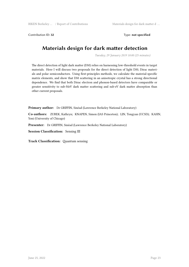Contribution ID: **32** Type: **not specified**

## **Materials design for dark matter detection**

*Tuesday, 29 January 2019 10:00 (25 minutes)*

The direct detection of light dark matter (DM) relies on harnessing low-threshold events in target materials. Here I will discuss two proposals for the direct detection of light DM; Dirac materials and polar semiconductors. Using first-principles methods, we calculate the material-specific matrix elements, and show that DM scattering in an anisotropic crystal has a strong directional dependence. We find that both Dirac electron and phonon-based detectors have comparable or greater sensitivity to sub-MeV dark matter scattering and sub-eV dark matter absorption than other current proposals.

**Primary author:** Dr GRIFFIN, Sinéad (Lawrence Berkeley National Laboratory)

**Co-authors:** ZUREK, Kathryn; KNAPEN, Simon (IAS Princeton); LIN, Tongyan (UCSD); KAHN, Yoni (University of Chicago)

**Presenter:** Dr GRIFFIN, Sinéad (Lawrence Berkeley National Laboratory)

**Session Classification:** Sensing III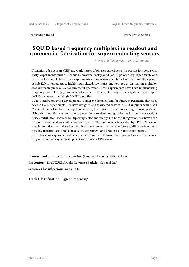Contribution ID: **33** Type: **not specified**

#### **SQUID based frequency multiplexing readout and commercial fabrication for superconducting sensors**

*Monday, 28 January 2019 10:10 (25 minutes)*

Transition edge sensors (TES) are work horses of physics experiments. In pursuit for more sensitivity, experiments such as Cosmic Microwave Background (CMB) polarimetry experiments and neutrino-less double beta decay experiments are increasing number of sensors. As TES operate at sub-Kelvin temperature, highly multiplexed, low-noise and low power dissipation multiplex readout technique is a key for successful operation. CMB experiments have been implementing frequency multiplexing (fmux) readout scheme. The current deployed fmux system readout up to 68 TES bolometers per single SQUID amplifier.

I will describe on-going development to improve fmux system for future experiments that goes beyond CMB experiments. We have designed and fabricated custom SQUID amplifier with STAR Cryoelectronics that has low input impedance, low power dissipation and high transimpedance. Using this amplifier, we are exploring new fmux readout configuration to further lower readout noise contribution, increase multiplexing factor and simply sub-Kelvin integration. We have been testing readout system while coupling them to TES bolometers fabricated by HYPRES, a commercial foundry. I will describe how these development will enable future CMB experiment and possibly neutrino-less double beta decay experiment and light Dark Matter experiments.

I will also share experience with commercial foundry to fabricate superconducting devices as these maybe attractive way to develop devices for future QIS devices.

**Primary author:** Dr SUZUKI, Aritoki (Lawrence Berkeley National Lab)

**Presenter:** Dr SUZUKI, Aritoki (Lawrence Berkeley National Lab)

**Session Classification:** Sensing II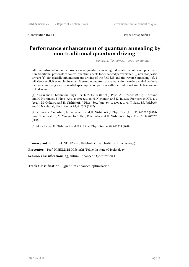Contribution ID: **34** Type: **not specified**

#### **Performance enhancement of quantum annealing by non-traditional quantum driving**

*Sunday, 27 January 2019 09:30 (40 minutes)*

After an introduction and an overview of quantum annealing, I describe recent developments in non-traditional protocols to control quantum effects for enhanced performance: (i) non-stoquastic drivers [1], (ii) spatially inhomogeneous driving of the field [2], and (iii) reverse annealing [3]. I will show explicit examples in which first-order quantum phase transitions can be avoided by these methods, implying an exponential speedup in comparison with the traditional simple transversefield driving.

[1] Y. Seki and H. Nishimori, Phys. Rev. E 85, 05112 (2012), J. Phys. A48, 335301 (2015), B. Seoane and H. Nishimori, J. Phys. A45, 435301 (2012), H. Nishimori and K. Takada, Frontiers in ICT, 4, 2 (2017), M. Ohkuwa and H. Nishimori, J. Phys. Soc. Jpn. 86, 114004 (2017). Y. Susa, J.F. Jadebeck and H. Nishimori, Phys. Rev. A 95, 042321 (2017).

[2] Y. Susa, Y. Yamashiro, M. Yamamoto and H. Nishimori, J. Phys. Soc. Jpn. 87, 023022 (2018), Susa, Y. Yamashiro, M. Yamamoto, I. Hen, D.A. Lidar and H. Nishimori, Phys. Rev. A 98, 042326 (2018)

[3] M. Ohkuwa, H. Nishimori, and D.A. Lidar, Phys. Rev. A 98, 022314 (2018).

**Primary author:** Prof. NISHIMORI, Hidetoshi (Tokyo Institute of Technology)

Presenter: Prof. NISHIMORI, Hidetoshi (Tokyo Institute of Technology)

**Session Classification:** Quantum Enhanced Optimization I

**Track Classification:** Quantum enhanced optimization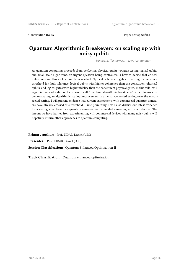Contribution ID: **35** Type: **not specified**

#### **Quantum Algorithmic Breakeven: on scaling up with noisy qubits**

*Sunday, 27 January 2019 12:00 (25 minutes)*

As quantum computing proceeds from perfecting physical qubits towards testing logical qubits and small scale algorithms, an urgent question being confronted is how to decide that critical milestones and thresholds have been reached. Typical criteria are gates exceeding the accuracy threshold for fault tolerance, logical qubits with higher coherence than the constituent physical qubits, and logical gates with higher fidelity than the constituent physical gates. In this talk I will argue in favor of a different criterion I call "quantum algorithmic breakeven", which focuses on demonstrating an algorithmic scaling improvement in an error-corrected setting over the uncorrected setting. I will present evidence that current experiments with commercial quantum annealers have already crossed this threshold. Time permitting, I will also discuss our latest evidence for a scaling advantage for a quantum annealer over simulated annealing with such devices. The lessons we have learned from experimenting with commercial devices with many noisy qubits will hopefully inform other approaches to quantum computing.

**Primary author:** Prof. LIDAR, Daniel (USC) **Presenter:** Prof. LIDAR, Daniel (USC) **Session Classification:** Quantum Enhanced Optimization II

**Track Classification:** Quantum enhanced optimization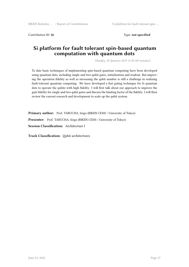Contribution ID: **36** Type: **not specified**

#### **Si platform for fault tolerant spin-based quantum computation with quantum dots**

*Monday, 28 January 2019 11:30 (40 minutes)*

To date basic techniques of implementing spin-based quantum computing have been developed using quantum dots, including single and two-qubit gates, initialization and readout. But improving the operation fidelity as well as increasing the qubit number is still a challenge in realizing fault-tolerant quantum computing. We have developed a fast gating technique for Si quantum dots to operate the qubits with high fidelity. I will first talk about our approach to improve the gate fidelity for single and two qubit gates and discuss the limiting factor of the fidelity. I will then review the current research and development to scale up the qubit system.

**Primary author:** Prof. TARUCHA, Seigo (RIKEN CEMS / University of Tokyo) **Presenter:** Prof. TARUCHA, Seigo (RIKEN CEMS / University of Tokyo) **Session Classification:** Architecture I

**Track Classification:** Qubit architectures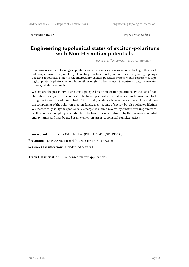Contribution ID: **37** Type: **not specified**

#### **Engineering topological states of exciton-polaritons with Non-Hermitian potentials**

*Sunday, 27 January 2019 16:30 (25 minutes)*

Emerging research in topological photonic systems promises new ways to control light flow without dissipation and the possibility of creating new functional photonic devices exploiting topology. Creating topological states in the microcavity exciton-polariton system would represent a topological photonic platform where interactions might further be used to control strongly-correlated topological states of matter.

We explore the possibility of creating topological states in exciton-polaritons by the use of non-Hermitian, or engineered 'complex' potentials. Specifically, I will describe our fabrication efforts using 'proton-enhanced interdiffusion' to spatially modulate independently the exciton and photon components of the polariton, creating landscapes not only of energy, but also polariton lifetime. We theoretically study the spontaneous emergence of time-reversal symmetry breaking and vortical flow in these complex potentials. Here, the handedness is controlled by the imaginary potential energy terms, and may be used as an element in larger 'topological complex lattices'.

**Primary author:** Dr FRASER, Michael (RIKEN CEMS / JST PRESTO) **Presenter:** Dr FRASER, Michael (RIKEN CEMS / JST PRESTO) **Session Classification:** Condensed Matter II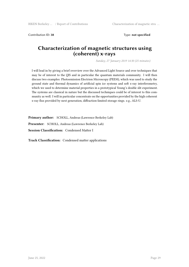Contribution ID: **38** Type: **not specified**

#### **Characterization of magnetic structures using (coherent) x-rays**

*Sunday, 27 January 2019 14:30 (25 minutes)*

I will lead in by giving a brief overview over the Advanced Light Source and over techniques that may be of interest to the QIS and in particular the quantum materials community. I will then discuss two examples: Photoemission Electrion Microscopy (PEEM), which was used to study the ground state and thermal dynamics of artificial spin ice systems and soft x-ray interferometry, which we used to determine material properties in a prototypical Young's double slit experiment. The systems are classical in nature but the discussed techniques could be of interest to this community as well. I will in particular concentrate on the opportunities provided by the high coherent x-ray flux provided by next generation, diffraction-limited storage rings. e.g., ALS-U.

**Primary author:** SCHOLL, Andreas (Lawrence Berkeley Lab)

**Presenter:** SCHOLL, Andreas (Lawrence Berkeley Lab)

**Session Classification:** Condensed Matter I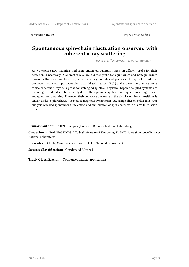Contribution ID: **39** Type: **not specified**

#### **Spontaneous spin-chain fluctuation observed with coherent x-ray scattering**

*Sunday, 27 January 2019 15:00 (25 minutes)*

As we explore new materials harboring entangled quantum states, an efficient probe for their detection is necessary. Coherent x-rays are a direct probe for equilibrium and nonequilibrium dynamics that can simultaneously measure a large number of particles. In my talk, I will use our recent work on dipolar-coupled artificial spin lattices (ASL) and explore the possible route to use coherent x-rays as a probe for entangled spintronic system. Dipolar-coupled systems are receiving considerable interest lately due to their possible application to quantum storage device and quantum computing. However, their collective dynamics in the vicinity of phase transitions is still an under-explored area. We studied magnetic dynamics in ASL using coherent soft x-rays. Our analysis revealed spontaneous nucleation and annihilation of spin-chains with a 3 ms fluctuation time.

**Primary author:** CHEN, Xiaoqian (Lawrence Berkeley National Laboratory)

**Co-authors:** Prof. HASTINGS, J. Todd (University of Kentucky); Dr ROY, Sujoy (Lawrence Berkeley National Laboratory)

**Presenter:** CHEN, Xiaoqian (Lawrence Berkeley National Laboratory)

**Session Classification:** Condensed Matter I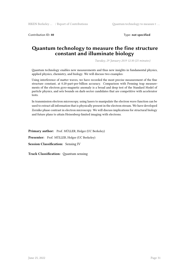Contribution ID: **40** Type: **not specified**

#### **Quantum technology to measure the fine structure constant and illuminate biology**

*Tuesday, 29 January 2019 12:30 (25 minutes)*

Quantum technology enables new measurements and thus new insights in fundamental physics, applied physics, chemistry, and biology. We will discuss two examples:

Using interference of matter waves, we have recorded the most precise measurement of the fine structure constant, at 0.20-part-per-billion accuracy. Comparison with Penning trap measurements of the electron gyro-magnetic anomaly is a broad and deep test of the Standard Model of particle physics, and sets bounds on dark-sector candidates that are competitive with accelerator tests.

In transmission electron microscopy, using lasers to manipulate the electron wave function can be used to extract all information that is physically present in the electron stream. We have developed Zernike phase contrast in electron microscopy. We will discuss implications for structural biology and future plans to attain Heisenberg-limited imaging with electrons.

Primary author: Prof. MÜLLER, Holger (UC Berkeley) **Presenter:** Prof. MÜLLER, Holger (UC Berkeley) **Session Classification:** Sensing IV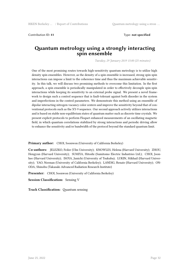Contribution ID: **41** Type: **not specified**

#### **Quantum metrology using a strongly interacting spin ensemble**

*Tuesday, 29 January 2019 15:00 (25 minutes)*

One of the most promising routes towards high-sensitivity quantum metrology is to utilize high density spin ensembles. However, as the density of a spin ensemble is increased, strong spin-spin interactions can impose a limit to the coherence time and thus the maximum achievable sensitivity. In this talk, we will discuss two promising methods to overcome this limitation. In the first approach, a spin ensemble is periodically manipulated in order to effectively decouple spin-spin interactions while keeping its sensitivity to an external probe signal. We present a novel framework to design such a control sequence that is fault-tolerant against both disorder in the system and imperfections in the control parameters. We demonstrate this method using an ensemble of dipolar interacting nitrogen-vacancy color centers and improve the sensitivity beyond that of conventional protocols such as the XY-9 sequence. Our second approach actively utilizes interactions and is based on stable non-equilibrium states of quantum matter such as discrete time crystals. We present explicit protocols to perform Floquet enhanced measurements of an oscillating magnetic field, in which quantum correlations stabilized by strong interactions and periodic driving allow to enhance the sensitivity and/or bandwidth of the protocol beyond the standard quantum limit.

**Primary author:** CHOI, Soonwon (University of California Berkeley)

**Co-authors:** JELEZKO, Fedor (Ulm University); KNOWLES, Helena (Harvard University); ZHOU, Hengyun (Harvard University); SUMIYA, Hitoshi (Sumitomo Electric Industries Ltd.); CHOI, Joonhee (Harvard University); ISOYA, Junichi (University of Tsukuba); LUKIN, Mikhail (Harvard University); YAO, Norman (University of California Berkeley); LANDIG, Renate (Harvard University); ON-ODA, Shinobu (Takasaki Advanced Radiation Research Institute)

**Presenter:** CHOI, Soonwon (University of California Berkeley)

**Session Classification:** Sensing V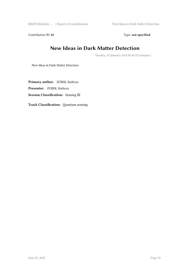RIKEN Berkeley ... / Report of Contributions New Ideas in Dark Matter Detection

Contribution ID: 42 Type: **not specified** 

## **New Ideas in Dark Matter Detection**

*Tuesday, 29 January 2019 09:30 (25 minutes)*

New Ideas in Dark Matter Detection

**Primary author:** ZUREK, Kathryn **Presenter:** ZUREK, Kathryn **Session Classification:** Sensing III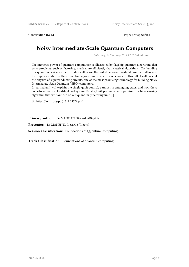Contribution ID: **43** Type: **not specified**

## **Noisy Intermediate-Scale Quantum Computers**

*Saturday, 26 January 2019 12:15 (40 minutes)*

The immense power of quantum computation is illustrated by flagship quantum algorithms that solve problems, such as factoring, much more efficiently than classical algorithms. The building of a quantum device with error rates well below the fault-tolerance threshold poses a challenge to the implementation of these quantum algorithms on near-term devices. In this talk, I will present the physics of superconducting circuits, one of the most promising technology for building Noisy Intermediate-Scale Quantum (NISQ) computers.

In particular, I will explain the single qubit control, parametric entangling gates, and how these come together in a cloud deployed system. Finally, I will present an unsupervised machine learning algorithm that we have run on our quantum processing unit [1].

[1] https://arxiv.org/pdf/1712.05771.pdf

**Primary author:** Dr MANENTI, Riccardo (Rigetti)

**Presenter:** Dr MANENTI, Riccardo (Rigetti)

**Session Classification:** Foundations of Quantum Computing

**Track Classification:** Foundations of quantum computing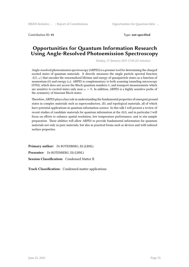Contribution ID: **45** Type: **not specified**

#### **Opportunities for Quantum Information Research Using Angle-Resolved Photoemission Spectroscopy**

*Sunday, 27 January 2019 17:00 (25 minutes)*

Angle-resolved photoemission spectroscopy (ARPES) is a premier tool for determining the charged excited states of quantum materials. It directly measures the single particle spectral function  $A(k, \omega)$  that encodes the renormalized lifetime and energy of quasiparticle states as a function of momentum  $(k)$  and energy  $(\omega)$ . ARPES is complementary to both scanning tunneling microscopy (STM), which does not access the Bloch quantum numbers *k*, and transport measurements which are sensitive to excited states only near  $\omega = 0$ . In addition, ARPES is a highly sensitive probe of the symmetry of itinerant Bloch states.

Therefore, ARPES plays a key role in understanding the fundamental properties of emergent ground states in complex materials such as superconductors, 2D, and topological materials, all of which have potential applications in quantum information science. In this talk I will present a review of recent studies of candidate materials for quantum information at the ALS, and in particular I will focus on efforts to enhance spatial resolution, low temperature performance, and *in situ* sample preparation. These abilities will allow ARPES to provide fundamental information for quantum materials not only in pure materials, but also in practical forms such as devices and with tailored surface properties.

**Primary author:** Dr ROTENBERG, Eli (LBNL) **Presenter:** Dr ROTENBERG, Eli (LBNL) **Session Classification:** Condensed Matter II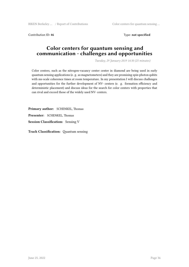Contribution ID: 46 **Type: not specified Type: not specified** 

## **Color centers for quantum sensing and communication - challenges and opportunities**

*Tuesday, 29 January 2019 14:30 (25 minutes)*

Color centers, such as the nitrogen-vacancy center center in diamond are being used in early quantum sensing applications (e. g. as magnetometers) and they are promising spin-photon qubits with ms-scale coherence times at room temperature. In my presentation I will discuss challenges and opportunities for the further development of NV- centers (e. g. formation efficiency and deterministic placement) and discuss ideas for the search for color centers with properties that can rival and exceed those of the widely used NV- centers.

**Primary author:** SCHENKEL, Thomas **Presenter:** SCHENKEL, Thomas **Session Classification:** Sensing V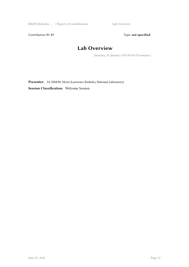RIKEN Berkeley ... / Report of Contributions Lab Overview

Contribution ID: 47 Type: **not specified** 

## **Lab Overview**

*Saturday, 26 January 2019 09:30 (20 minutes)*

Presenter: Dr SIMON, Horst (Lawrence Berkeley National Laboratory) **Session Classification:** Welcome Session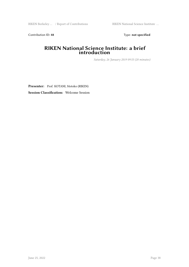Contribution ID: 48 Type: **not specified** 

#### **RIKEN National Science Institute: a brief introduction**

*Saturday, 26 January 2019 09:53 (20 minutes)*

**Presenter:** Prof. KOTANI, Motoko (RIKEN)

**Session Classification:** Welcome Session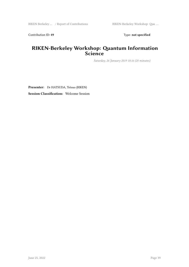Contribution ID: 49 Type: **not specified** 

## **RIKEN-Berkeley Workshop: Quantum Information Science**

*Saturday, 26 January 2019 10:16 (20 minutes)*

**Presenter:** Dr HATSUDA, Tetsuo (RIKEN)

**Session Classification:** Welcome Session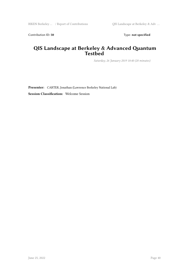Contribution ID: 50 Type: not specified

#### **QIS Landscape at Berkeley & Advanced Quantum Testbed**

*Saturday, 26 January 2019 10:40 (20 minutes)*

**Presenter:** CARTER, Jonathan (Lawrence Berkeley National Lab)

**Session Classification:** Welcome Session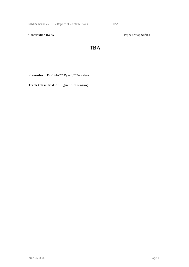RIKEN Berkeley ... / Report of Contributions TBA

Contribution ID: 85 Type: **not specified** 

## **TBA**

Presenter: Prof. MATT, Pyle (UC Berkeley)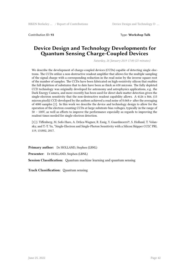Contribution ID: **93** Type: **Workshop Talk**

#### **Device Design and Technology Developments for Quantum Sensing Charge-Coupled Devices**

*Saturday, 26 January 2019 17:00 (25 minutes)*

We describe the development of charge-coupled devices (CCDs) capable of detecting single electrons. The CCDs utilize a non-destructive readout amplifier that allows for the multiple sampling of the signal charge with a corresponding reduction in the read noise by the inverse square root of the number of samples. The CCDs have been fabricated on high-resistivity silicon that enables the full depletion of substrates that to date have been as thick as 650 microns. The fully depleted CCD technology was originally developed for astronomy and astrophysics applications, e.g. the Dark Energy Camera, and more recently has been used for direct dark-matter detection given the single-electron sensitivity that the non-destructive readout capability allows. A 4126 x 866, (15 micron pixel)2 CCD developed by the authors achieved a read noise of 0.068 e- after the averaging of 4000 samples [1]. In this work we describe the device and technology design to allow for the operation of the electron counting CCDs at large substrate-bias voltages, typically in the range of 50 – 100V, as well as efforts to improve the performance especially as regards to improving the readout times needed for single-electron detection.

[1] J. Tiffenberg, M. Sofo-Haro, A. Drlica-Wagner, R. Essig, Y. Guardincerri†, S. Holland, T. Volansky, and T.-T. Yu, "Single-Electron and Single-Photon Sensitivity with a Silicon Skipper CCD," PRL 119, 131802, 2017.

**Primary author:** Dr HOLLAND, Stephen (LBNL)

**Presenter:** Dr HOLLAND, Stephen (LBNL)

**Session Classification:** Quantum machine learning and quantum sensing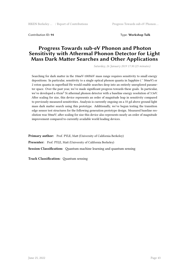Contribution ID: **94** Type: **Workshop Talk**

#### **Progress Towards sub-eV Phonon and Photon Sensitivity with Athermal Phonon Detector for Light Mass Dark Matter Searches and Other Applications**

*Saturday, 26 January 2019 17:30 (25 minutes)*

Searching for dark matter in the 10meV-100MeV mass range requires sensitivity to small energy depositions. In particular, sensitivity to a single optical phonon quanta in Sapphire ( ˜ 50meV) or 2 roton quanta in superfluid He would enable searches deep into an entirely unexplored parameter space. Over the past year, we've made significant progress towards these goals. In particular, we've developed a 45cm<sup>2</sup> Si athermal phonon detector with a baseline energy resolution of 3.5eV. After scaling for size, this device represents an order of magnitude leap in sensitivity compared to previously measured sensitivities. Analysis is currently ongoing on a 33 gd above ground light mass dark matter search using this prototype. Additionally, we've begun testing the transition edge sensor test structures for the following generation prototype design. Measured baseline resolution was 50meV; after scaling for size this device also represents nearly an order of magnitude improvement compared to currently available world leading devices.

Primary author: Prof. PYLE, Matt (University of California Berkeley) Presenter: Prof. PYLE, Matt (University of California Berkeley) **Session Classification:** Quantum machine learning and quantum sensing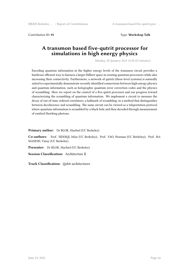Contribution ID: **95** Type: **Workshop Talk**

#### **A transmon based five-qutrit processor for simulations in high energy physics**

*Monday, 28 January 2019 15:30 (25 minutes)*

Encoding quantum information in the higher energy levels of the transmon circuit provides a hardware efficient way to harness a larger Hilbert space in existing quantum processors while also increasing their connectivity. Furthermore, a network of qutrits (three-level systems) is naturally suited to experimentally demonstrate recently identified connections between high energy physics and quantum information, such as holographic quantum error correction codes and the physics of scrambling. Here we report on the control of a five-qutrit processor and our progress toward characterizing the scrambling of quantum information. We implement a circuit to measure the decay of out-of-time ordered correlators, a hallmark of scrambling, in a method that distinguishes between decoherence and scrambling. The same circuit can be viewed as a teleportation protocol where quantum information is scrambled by a black hole and then decoded through measurement of emitted Hawking photons.

**Primary author:** Dr BLOK, Machiel (UC Berkeley)

**Co-authors:** Prof. SIDDIQI, Irfan (UC Berkeley); Prof. YAO, Norman (UC Berkeley); Prof. RA-MASESH, Vinay (UC Berkeley)

**Presenter:** Dr BLOK, Machiel (UC Berkeley)

**Session Classification:** Architecture II

**Track Classification:** Qubit architectures